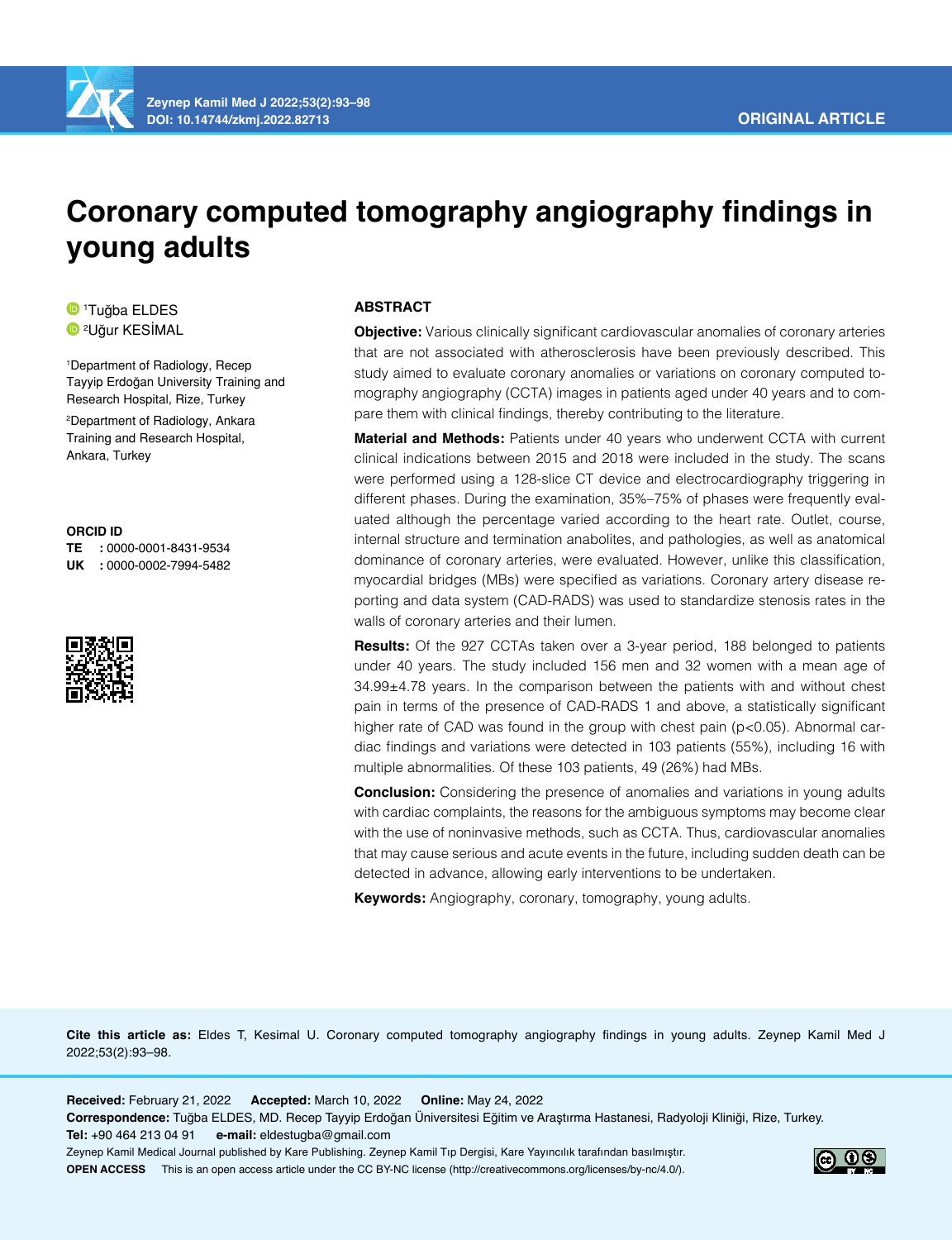

# **Coronary computed tomography angiography findings in young adults**

1 Tuğba ELDES 2 Uğur KESİMAL

1 Department of Radiology, Recep Tayyip Erdoğan University Training and Research Hospital, Rize, Turkey 2 Department of Radiology, Ankara Training and Research Hospital, Ankara, Turkey

#### **ORCID ID**

**TE :** 0000-0001-8431-9534 **UK :** 0000-0002-7994-5482



## **ABSTRACT**

**Objective:** Various clinically significant cardiovascular anomalies of coronary arteries that are not associated with atherosclerosis have been previously described. This study aimed to evaluate coronary anomalies or variations on coronary computed tomography angiography (CCTA) images in patients aged under 40 years and to compare them with clinical findings, thereby contributing to the literature.

**Material and Methods:** Patients under 40 years who underwent CCTA with current clinical indications between 2015 and 2018 were included in the study. The scans were performed using a 128-slice CT device and electrocardiography triggering in different phases. During the examination, 35%–75% of phases were frequently evaluated although the percentage varied according to the heart rate. Outlet, course, internal structure and termination anabolites, and pathologies, as well as anatomical dominance of coronary arteries, were evaluated. However, unlike this classification, myocardial bridges (MBs) were specified as variations. Coronary artery disease reporting and data system (CAD-RADS) was used to standardize stenosis rates in the walls of coronary arteries and their lumen.

**Results:** Of the 927 CCTAs taken over a 3-year period, 188 belonged to patients under 40 years. The study included 156 men and 32 women with a mean age of 34.99±4.78 years. In the comparison between the patients with and without chest pain in terms of the presence of CAD-RADS 1 and above, a statistically significant higher rate of CAD was found in the group with chest pain (p<0.05). Abnormal cardiac findings and variations were detected in 103 patients (55%), including 16 with multiple abnormalities. Of these 103 patients, 49 (26%) had MBs.

**Conclusion:** Considering the presence of anomalies and variations in young adults with cardiac complaints, the reasons for the ambiguous symptoms may become clear with the use of noninvasive methods, such as CCTA. Thus, cardiovascular anomalies that may cause serious and acute events in the future, including sudden death can be detected in advance, allowing early interventions to be undertaken.

**Keywords:** Angiography, coronary, tomography, young adults.

**Cite this article as:** Eldes T, Kesimal U. Coronary computed tomography angiography findings in young adults. Zeynep Kamil Med J 2022;53(2):93–98.

**Received:** February 21, 2022 **Accepted:** March 10, 2022 **Online:** May 24, 2022 **Correspondence:** Tuğba ELDES, MD. Recep Tayyip Erdoğan Üniversitesi Eğitim ve Araştırma Hastanesi, Radyoloji Kliniği, Rize, Turkey. **Tel:** +90 464 213 04 91 **e-mail:** eldestugba@gmail.com Zeynep Kamil Medical Journal published by Kare Publishing. Zeynep Kamil Tıp Dergisi, Kare Yayıncılık tarafından basılmıştır. **OPEN ACCESS** This is an open access article under the CC BY-NC license (http://creativecommons.org/licenses/by-nc/4.0/).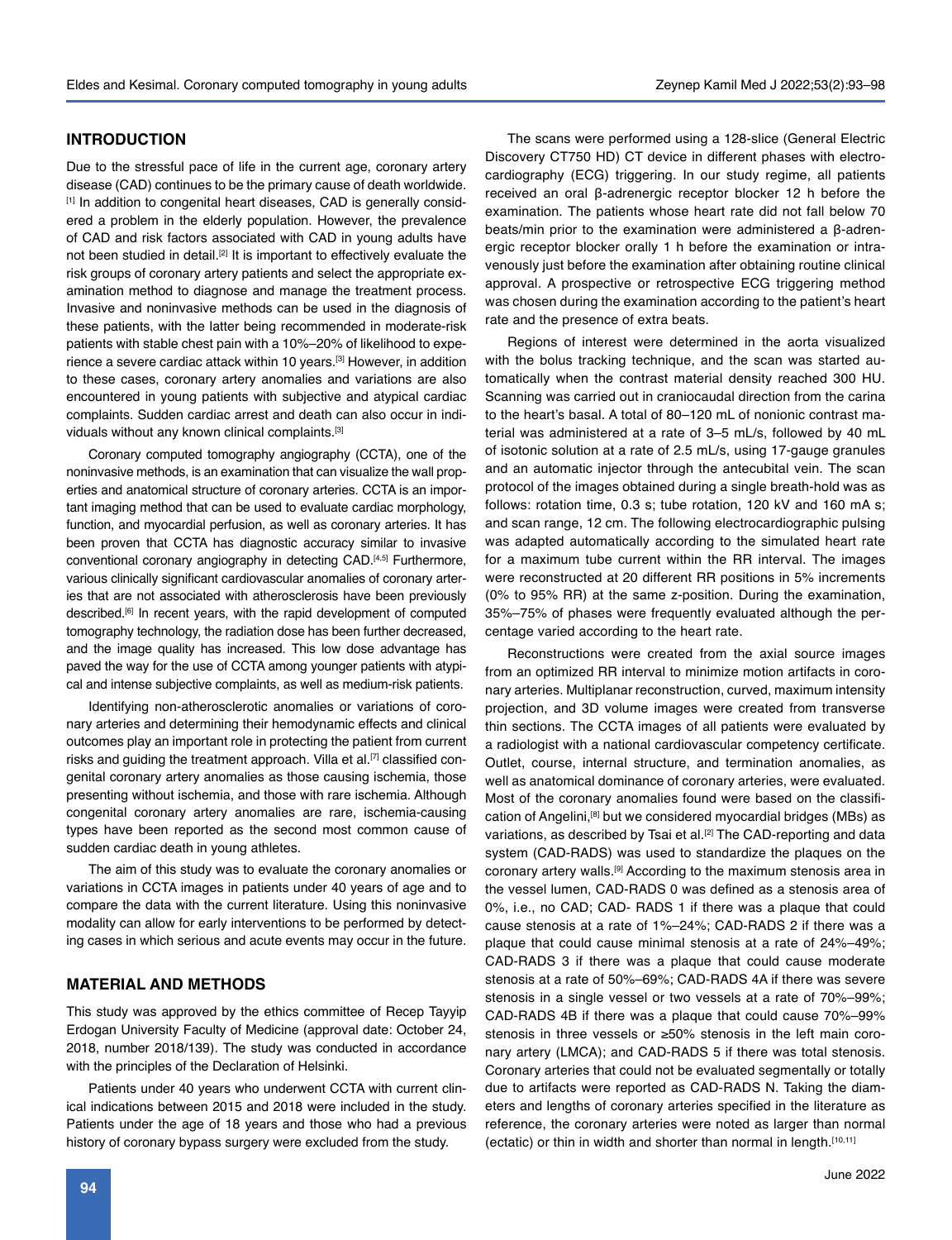#### **INTRODUCTION**

Due to the stressful pace of life in the current age, coronary artery disease (CAD) continues to be the primary cause of death worldwide. [1] In addition to congenital heart diseases, CAD is generally considered a problem in the elderly population. However, the prevalence of CAD and risk factors associated with CAD in young adults have not been studied in detail.<sup>[2]</sup> It is important to effectively evaluate the risk groups of coronary artery patients and select the appropriate examination method to diagnose and manage the treatment process. Invasive and noninvasive methods can be used in the diagnosis of these patients, with the latter being recommended in moderate-risk patients with stable chest pain with a 10%–20% of likelihood to experience a severe cardiac attack within 10 years.<sup>[3]</sup> However, in addition to these cases, coronary artery anomalies and variations are also encountered in young patients with subjective and atypical cardiac complaints. Sudden cardiac arrest and death can also occur in individuals without any known clinical complaints.[3]

Coronary computed tomography angiography (CCTA), one of the noninvasive methods, is an examination that can visualize the wall properties and anatomical structure of coronary arteries. CCTA is an important imaging method that can be used to evaluate cardiac morphology, function, and myocardial perfusion, as well as coronary arteries. It has been proven that CCTA has diagnostic accuracy similar to invasive conventional coronary angiography in detecting CAD.[4,5] Furthermore, various clinically significant cardiovascular anomalies of coronary arteries that are not associated with atherosclerosis have been previously described.<sup>[6]</sup> In recent years, with the rapid development of computed tomography technology, the radiation dose has been further decreased, and the image quality has increased. This low dose advantage has paved the way for the use of CCTA among younger patients with atypical and intense subjective complaints, as well as medium-risk patients.

Identifying non-atherosclerotic anomalies or variations of coronary arteries and determining their hemodynamic effects and clinical outcomes play an important role in protecting the patient from current risks and guiding the treatment approach. Villa et al.<sup>[7]</sup> classified congenital coronary artery anomalies as those causing ischemia, those presenting without ischemia, and those with rare ischemia. Although congenital coronary artery anomalies are rare, ischemia-causing types have been reported as the second most common cause of sudden cardiac death in young athletes.

The aim of this study was to evaluate the coronary anomalies or variations in CCTA images in patients under 40 years of age and to compare the data with the current literature. Using this noninvasive modality can allow for early interventions to be performed by detecting cases in which serious and acute events may occur in the future.

## **MATERIAL AND METHODS**

This study was approved by the ethics committee of Recep Tayyip Erdogan University Faculty of Medicine (approval date: October 24, 2018, number 2018/139). The study was conducted in accordance with the principles of the Declaration of Helsinki.

Patients under 40 years who underwent CCTA with current clinical indications between 2015 and 2018 were included in the study. Patients under the age of 18 years and those who had a previous history of coronary bypass surgery were excluded from the study.

The scans were performed using a 128-slice (General Electric Discovery CT750 HD) CT device in different phases with electrocardiography (ECG) triggering. In our study regime, all patients received an oral β-adrenergic receptor blocker 12 h before the examination. The patients whose heart rate did not fall below 70 beats/min prior to the examination were administered a β-adrenergic receptor blocker orally 1 h before the examination or intravenously just before the examination after obtaining routine clinical approval. A prospective or retrospective ECG triggering method was chosen during the examination according to the patient's heart rate and the presence of extra beats.

Regions of interest were determined in the aorta visualized with the bolus tracking technique, and the scan was started automatically when the contrast material density reached 300 HU. Scanning was carried out in craniocaudal direction from the carina to the heart's basal. A total of 80–120 mL of nonionic contrast material was administered at a rate of 3–5 mL/s, followed by 40 mL of isotonic solution at a rate of 2.5 mL/s, using 17-gauge granules and an automatic injector through the antecubital vein. The scan protocol of the images obtained during a single breath-hold was as follows: rotation time, 0.3 s; tube rotation, 120 kV and 160 mA s; and scan range, 12 cm. The following electrocardiographic pulsing was adapted automatically according to the simulated heart rate for a maximum tube current within the RR interval. The images were reconstructed at 20 different RR positions in 5% increments (0% to 95% RR) at the same z-position. During the examination, 35%–75% of phases were frequently evaluated although the percentage varied according to the heart rate.

Reconstructions were created from the axial source images from an optimized RR interval to minimize motion artifacts in coronary arteries. Multiplanar reconstruction, curved, maximum intensity projection, and 3D volume images were created from transverse thin sections. The CCTA images of all patients were evaluated by a radiologist with a national cardiovascular competency certificate. Outlet, course, internal structure, and termination anomalies, as well as anatomical dominance of coronary arteries, were evaluated. Most of the coronary anomalies found were based on the classification of Angelini,<sup>[8]</sup> but we considered myocardial bridges (MBs) as variations, as described by Tsai et al.<sup>[2]</sup> The CAD-reporting and data system (CAD-RADS) was used to standardize the plaques on the coronary artery walls.[9] According to the maximum stenosis area in the vessel lumen, CAD-RADS 0 was defined as a stenosis area of 0%, i.e., no CAD; CAD- RADS 1 if there was a plaque that could cause stenosis at a rate of 1%–24%; CAD-RADS 2 if there was a plaque that could cause minimal stenosis at a rate of 24%–49%; CAD-RADS 3 if there was a plaque that could cause moderate stenosis at a rate of 50%–69%; CAD-RADS 4A if there was severe stenosis in a single vessel or two vessels at a rate of 70%–99%; CAD-RADS 4B if there was a plaque that could cause 70%–99% stenosis in three vessels or ≥50% stenosis in the left main coronary artery (LMCA); and CAD-RADS 5 if there was total stenosis. Coronary arteries that could not be evaluated segmentally or totally due to artifacts were reported as CAD-RADS N. Taking the diameters and lengths of coronary arteries specified in the literature as reference, the coronary arteries were noted as larger than normal (ectatic) or thin in width and shorter than normal in length.[10,11]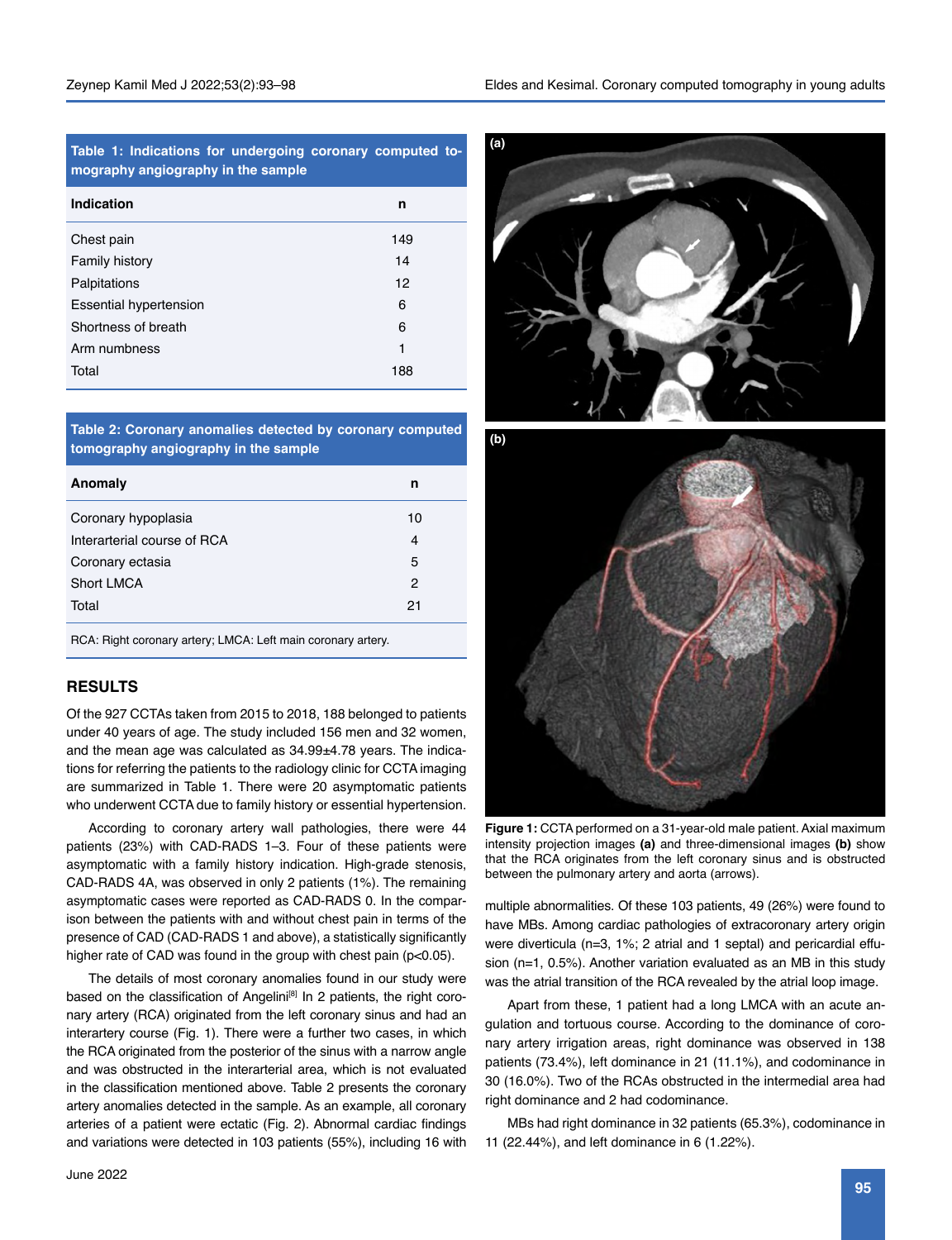**Table 1: Indications for undergoing coronary computed tomography angiography in the sample**

| Indication                    | n   |
|-------------------------------|-----|
| Chest pain                    | 149 |
| <b>Family history</b>         | 14  |
| Palpitations                  | 12  |
| <b>Essential hypertension</b> | 6   |
| Shortness of breath           | 6   |
| Arm numbness                  | 1   |
| Total                         | 188 |

**Table 2: Coronary anomalies detected by coronary computed tomography angiography in the sample**

| Anomaly                     | n  |
|-----------------------------|----|
| Coronary hypoplasia         | 10 |
| Interarterial course of RCA | 4  |
| Coronary ectasia            | 5  |
| <b>Short LMCA</b>           | 2  |
| Total                       | 21 |
|                             |    |

RCA: Right coronary artery; LMCA: Left main coronary artery.

## **RESULTS**

Of the 927 CCTAs taken from 2015 to 2018, 188 belonged to patients under 40 years of age. The study included 156 men and 32 women, and the mean age was calculated as 34.99±4.78 years. The indications for referring the patients to the radiology clinic for CCTA imaging are summarized in Table 1. There were 20 asymptomatic patients who underwent CCTA due to family history or essential hypertension.

According to coronary artery wall pathologies, there were 44 patients (23%) with CAD-RADS 1–3. Four of these patients were asymptomatic with a family history indication. High-grade stenosis, CAD-RADS 4A, was observed in only 2 patients (1%). The remaining asymptomatic cases were reported as CAD-RADS 0. In the comparison between the patients with and without chest pain in terms of the presence of CAD (CAD-RADS 1 and above), a statistically significantly higher rate of CAD was found in the group with chest pain (p<0.05).

The details of most coronary anomalies found in our study were based on the classification of Angelini<sup>[8]</sup> In 2 patients, the right coronary artery (RCA) originated from the left coronary sinus and had an interartery course (Fig. 1). There were a further two cases, in which the RCA originated from the posterior of the sinus with a narrow angle and was obstructed in the interarterial area, which is not evaluated in the classification mentioned above. Table 2 presents the coronary artery anomalies detected in the sample. As an example, all coronary arteries of a patient were ectatic (Fig. 2). Abnormal cardiac findings and variations were detected in 103 patients (55%), including 16 with





**Figure 1:** CCTA performed on a 31-year-old male patient. Axial maximum intensity projection images **(a)** and three-dimensional images **(b)** show that the RCA originates from the left coronary sinus and is obstructed between the pulmonary artery and aorta (arrows).

multiple abnormalities. Of these 103 patients, 49 (26%) were found to have MBs. Among cardiac pathologies of extracoronary artery origin were diverticula (n=3, 1%; 2 atrial and 1 septal) and pericardial effusion (n=1, 0.5%). Another variation evaluated as an MB in this study was the atrial transition of the RCA revealed by the atrial loop image.

Apart from these, 1 patient had a long LMCA with an acute angulation and tortuous course. According to the dominance of coronary artery irrigation areas, right dominance was observed in 138 patients (73.4%), left dominance in 21 (11.1%), and codominance in 30 (16.0%). Two of the RCAs obstructed in the intermedial area had right dominance and 2 had codominance.

MBs had right dominance in 32 patients (65.3%), codominance in 11 (22.44%), and left dominance in 6 (1.22%).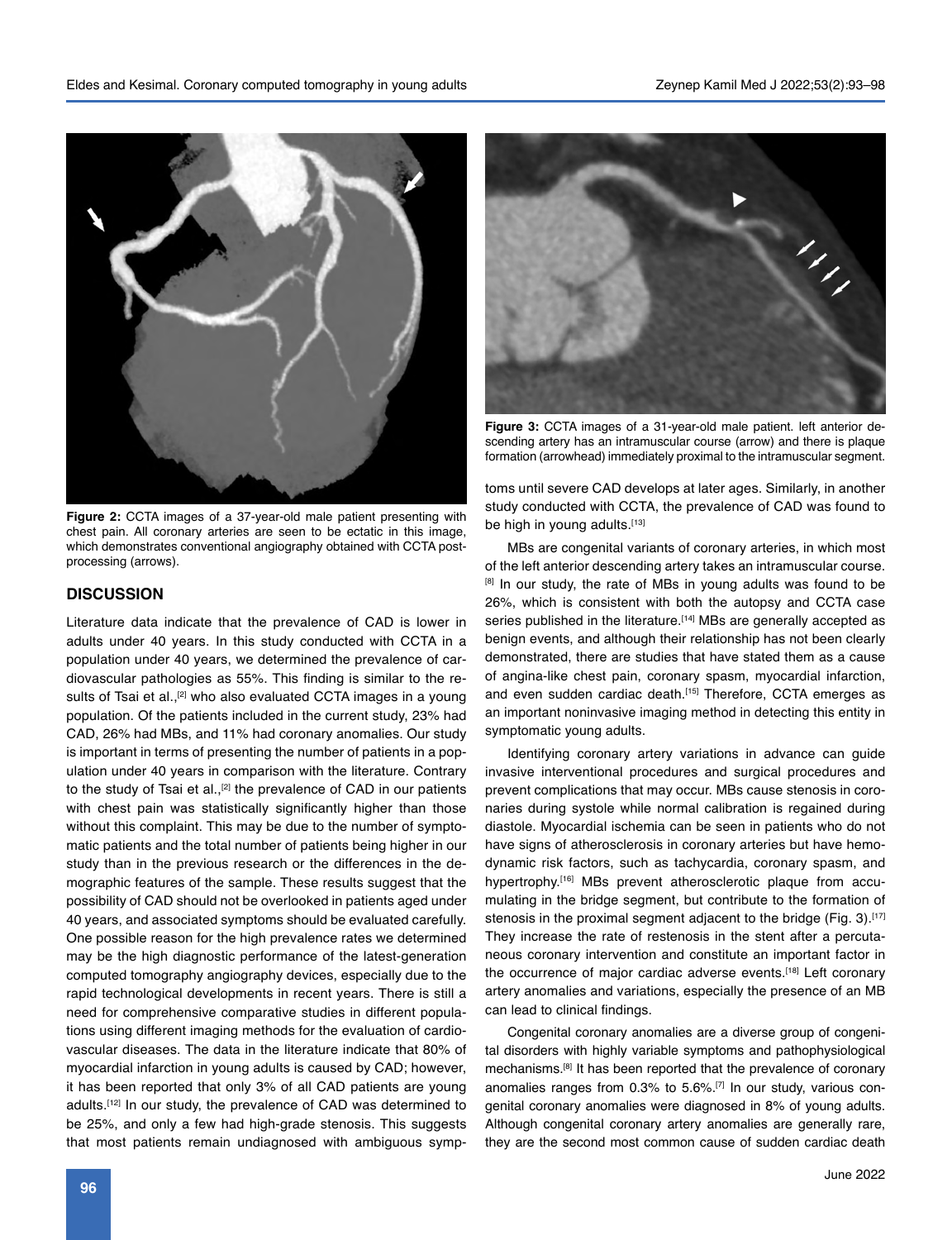

**Figure 2:** CCTA images of a 37-year-old male patient presenting with chest pain. All coronary arteries are seen to be ectatic in this image, which demonstrates conventional angiography obtained with CCTA postprocessing (arrows).

#### **DISCUSSION**

Literature data indicate that the prevalence of CAD is lower in adults under 40 years. In this study conducted with CCTA in a population under 40 years, we determined the prevalence of cardiovascular pathologies as 55%. This finding is similar to the results of Tsai et al.,<sup>[2]</sup> who also evaluated CCTA images in a young population. Of the patients included in the current study, 23% had CAD, 26% had MBs, and 11% had coronary anomalies. Our study is important in terms of presenting the number of patients in a population under 40 years in comparison with the literature. Contrary to the study of Tsai et al.,<sup>[2]</sup> the prevalence of CAD in our patients with chest pain was statistically significantly higher than those without this complaint. This may be due to the number of symptomatic patients and the total number of patients being higher in our study than in the previous research or the differences in the demographic features of the sample. These results suggest that the possibility of CAD should not be overlooked in patients aged under 40 years, and associated symptoms should be evaluated carefully. One possible reason for the high prevalence rates we determined may be the high diagnostic performance of the latest-generation computed tomography angiography devices, especially due to the rapid technological developments in recent years. There is still a need for comprehensive comparative studies in different populations using different imaging methods for the evaluation of cardiovascular diseases. The data in the literature indicate that 80% of myocardial infarction in young adults is caused by CAD; however, it has been reported that only 3% of all CAD patients are young adults.<sup>[12]</sup> In our study, the prevalence of CAD was determined to be 25%, and only a few had high-grade stenosis. This suggests that most patients remain undiagnosed with ambiguous symp-



**Figure 3:** CCTA images of a 31-year-old male patient. left anterior descending artery has an intramuscular course (arrow) and there is plaque formation (arrowhead) immediately proximal to the intramuscular segment.

toms until severe CAD develops at later ages. Similarly, in another study conducted with CCTA, the prevalence of CAD was found to be high in young adults.<sup>[13]</sup>

MBs are congenital variants of coronary arteries, in which most of the left anterior descending artery takes an intramuscular course. [8] In our study, the rate of MBs in young adults was found to be 26%, which is consistent with both the autopsy and CCTA case series published in the literature.<sup>[14]</sup> MBs are generally accepted as benign events, and although their relationship has not been clearly demonstrated, there are studies that have stated them as a cause of angina-like chest pain, coronary spasm, myocardial infarction, and even sudden cardiac death.<sup>[15]</sup> Therefore, CCTA emerges as an important noninvasive imaging method in detecting this entity in symptomatic young adults.

Identifying coronary artery variations in advance can guide invasive interventional procedures and surgical procedures and prevent complications that may occur. MBs cause stenosis in coronaries during systole while normal calibration is regained during diastole. Myocardial ischemia can be seen in patients who do not have signs of atherosclerosis in coronary arteries but have hemodynamic risk factors, such as tachycardia, coronary spasm, and hypertrophy.<sup>[16]</sup> MBs prevent atherosclerotic plaque from accumulating in the bridge segment, but contribute to the formation of stenosis in the proximal segment adjacent to the bridge (Fig. 3).<sup>[17]</sup> They increase the rate of restenosis in the stent after a percutaneous coronary intervention and constitute an important factor in the occurrence of major cardiac adverse events.<sup>[18]</sup> Left coronary artery anomalies and variations, especially the presence of an MB can lead to clinical findings.

Congenital coronary anomalies are a diverse group of congenital disorders with highly variable symptoms and pathophysiological mechanisms.[8] It has been reported that the prevalence of coronary anomalies ranges from 0.3% to 5.6%.[7] In our study, various congenital coronary anomalies were diagnosed in 8% of young adults. Although congenital coronary artery anomalies are generally rare, they are the second most common cause of sudden cardiac death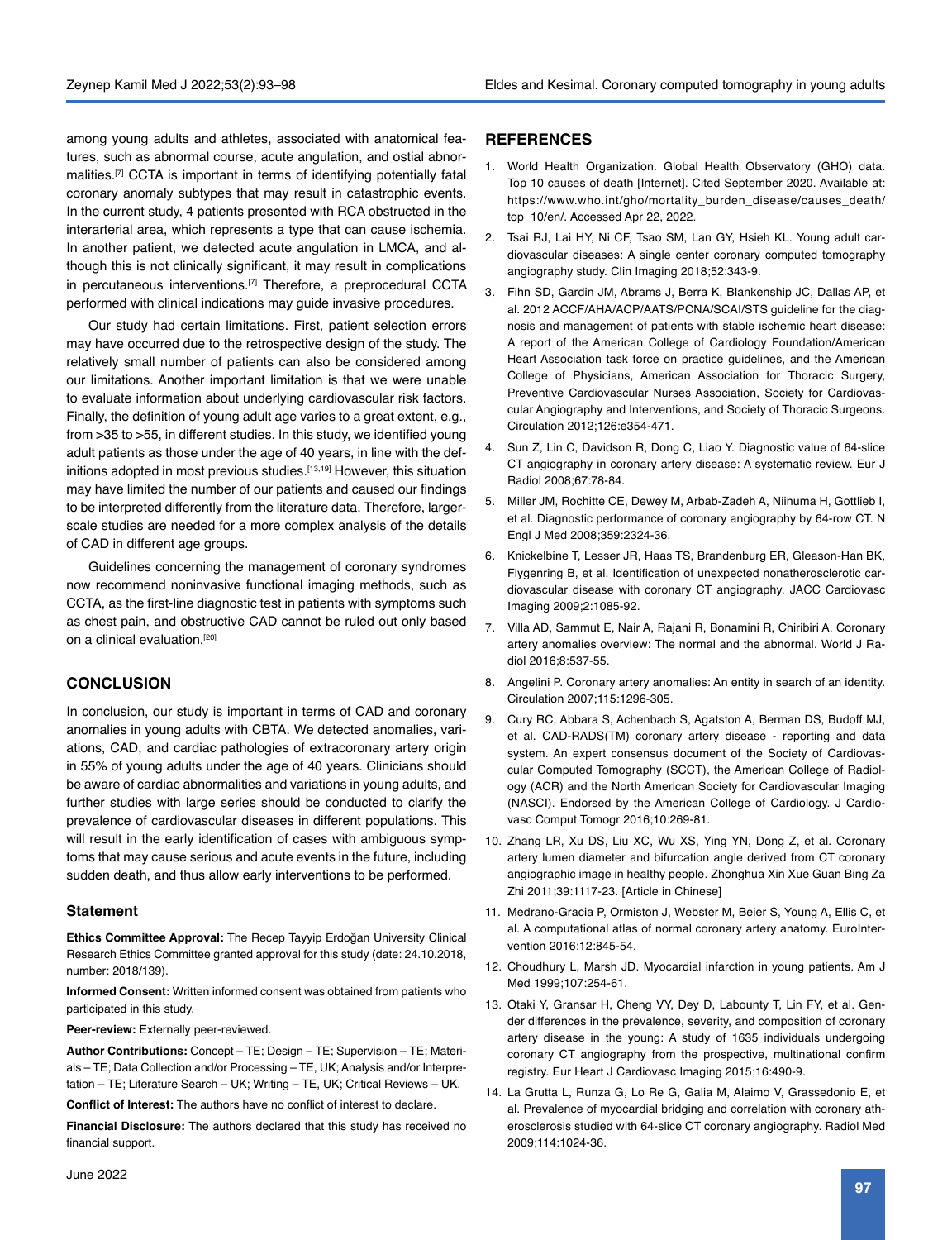among young adults and athletes, associated with anatomical features, such as abnormal course, acute angulation, and ostial abnormalities.<sup>[7]</sup> CCTA is important in terms of identifying potentially fatal coronary anomaly subtypes that may result in catastrophic events. In the current study, 4 patients presented with RCA obstructed in the interarterial area, which represents a type that can cause ischemia. In another patient, we detected acute angulation in LMCA, and although this is not clinically significant, it may result in complications in percutaneous interventions.[7] Therefore, a preprocedural CCTA performed with clinical indications may guide invasive procedures.

Our study had certain limitations. First, patient selection errors may have occurred due to the retrospective design of the study. The relatively small number of patients can also be considered among our limitations. Another important limitation is that we were unable to evaluate information about underlying cardiovascular risk factors. Finally, the definition of young adult age varies to a great extent, e.g., from >35 to >55, in different studies. In this study, we identified young adult patients as those under the age of 40 years, in line with the definitions adopted in most previous studies.<sup>[13,19]</sup> However, this situation may have limited the number of our patients and caused our findings to be interpreted differently from the literature data. Therefore, largerscale studies are needed for a more complex analysis of the details of CAD in different age groups.

Guidelines concerning the management of coronary syndromes now recommend noninvasive functional imaging methods, such as CCTA, as the first-line diagnostic test in patients with symptoms such as chest pain, and obstructive CAD cannot be ruled out only based on a clinical evaluation.<sup>[20]</sup>

## **CONCLUSION**

In conclusion, our study is important in terms of CAD and coronary anomalies in young adults with CBTA. We detected anomalies, variations, CAD, and cardiac pathologies of extracoronary artery origin in 55% of young adults under the age of 40 years. Clinicians should be aware of cardiac abnormalities and variations in young adults, and further studies with large series should be conducted to clarify the prevalence of cardiovascular diseases in different populations. This will result in the early identification of cases with ambiguous symptoms that may cause serious and acute events in the future, including sudden death, and thus allow early interventions to be performed.

#### **Statement**

**Ethics Committee Approval:** The Recep Tayyip Erdoğan University Clinical Research Ethics Committee granted approval for this study (date: 24.10.2018, number: 2018/139).

**Informed Consent:** Written informed consent was obtained from patients who participated in this study.

**Peer-review:** Externally peer-reviewed.

**Author Contributions:** Concept – TE; Design – TE; Supervision – TE; Materials – TE; Data Collection and/or Processing – TE, UK; Analysis and/or Interpretation – TE; Literature Search – UK; Writing – TE, UK; Critical Reviews – UK.

**Conflict of Interest:** The authors have no conflict of interest to declare.

**Financial Disclosure:** The authors declared that this study has received no financial support.

#### **REFERENCES**

- 1. World Health Organization. Global Health Observatory (GHO) data. Top 10 causes of death [Internet]. Cited September 2020. Available at: https://www.who.int/gho/mortality\_burden\_disease/causes\_death/ top\_10/en/. Accessed Apr 22, 2022.
- 2. Tsai RJ, Lai HY, Ni CF, Tsao SM, Lan GY, Hsieh KL. Young adult cardiovascular diseases: A single center coronary computed tomography angiography study. Clin Imaging 2018;52:343-9.
- 3. Fihn SD, Gardin JM, Abrams J, Berra K, Blankenship JC, Dallas AP, et al. 2012 ACCF/AHA/ACP/AATS/PCNA/SCAI/STS guideline for the diagnosis and management of patients with stable ischemic heart disease: A report of the American College of Cardiology Foundation/American Heart Association task force on practice guidelines, and the American College of Physicians, American Association for Thoracic Surgery, Preventive Cardiovascular Nurses Association, Society for Cardiovascular Angiography and Interventions, and Society of Thoracic Surgeons. Circulation 2012;126:e354-471.
- 4. Sun Z, Lin C, Davidson R, Dong C, Liao Y. Diagnostic value of 64-slice CT angiography in coronary artery disease: A systematic review. Eur J Radiol 2008;67:78-84.
- 5. Miller JM, Rochitte CE, Dewey M, Arbab-Zadeh A, Niinuma H, Gottlieb I, et al. Diagnostic performance of coronary angiography by 64-row CT. N Engl J Med 2008;359:2324-36.
- 6. Knickelbine T, Lesser JR, Haas TS, Brandenburg ER, Gleason-Han BK, Flygenring B, et al. Identification of unexpected nonatherosclerotic cardiovascular disease with coronary CT angiography. JACC Cardiovasc Imaging 2009;2:1085-92.
- 7. Villa AD, Sammut E, Nair A, Rajani R, Bonamini R, Chiribiri A. Coronary artery anomalies overview: The normal and the abnormal. World J Radiol 2016;8:537-55.
- 8. Angelini P. Coronary artery anomalies: An entity in search of an identity. Circulation 2007;115:1296-305.
- 9. Cury RC, Abbara S, Achenbach S, Agatston A, Berman DS, Budoff MJ, et al. CAD-RADS(TM) coronary artery disease - reporting and data system. An expert consensus document of the Society of Cardiovascular Computed Tomography (SCCT), the American College of Radiology (ACR) and the North American Society for Cardiovascular Imaging (NASCI). Endorsed by the American College of Cardiology. J Cardiovasc Comput Tomogr 2016;10:269-81.
- 10. Zhang LR, Xu DS, Liu XC, Wu XS, Ying YN, Dong Z, et al. Coronary artery lumen diameter and bifurcation angle derived from CT coronary angiographic image in healthy people. Zhonghua Xin Xue Guan Bing Za Zhi 2011;39:1117-23. [Article in Chinese]
- 11. Medrano-Gracia P, Ormiston J, Webster M, Beier S, Young A, Ellis C, et al. A computational atlas of normal coronary artery anatomy. EuroIntervention 2016;12:845-54.
- 12. Choudhury L, Marsh JD. Myocardial infarction in young patients. Am J Med 1999;107:254-61.
- 13. Otaki Y, Gransar H, Cheng VY, Dey D, Labounty T, Lin FY, et al. Gender differences in the prevalence, severity, and composition of coronary artery disease in the young: A study of 1635 individuals undergoing coronary CT angiography from the prospective, multinational confirm registry. Eur Heart J Cardiovasc Imaging 2015;16:490-9.
- 14. La Grutta L, Runza G, Lo Re G, Galia M, Alaimo V, Grassedonio E, et al. Prevalence of myocardial bridging and correlation with coronary atherosclerosis studied with 64-slice CT coronary angiography. Radiol Med 2009;114:1024-36.